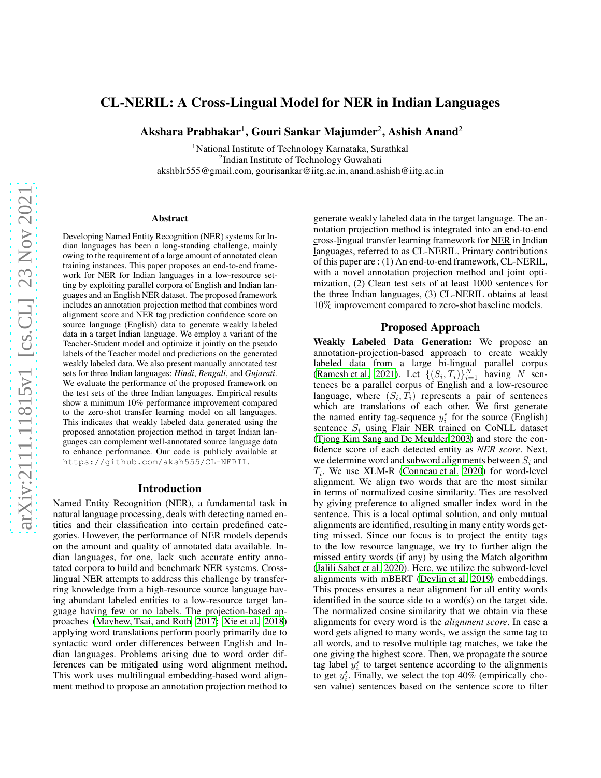# CL-NERIL: A Cross-Lingual Model for NER in Indian Languages

Akshara Prabhakar $^1$ , Gouri Sankar Majumder $^2$ , Ashish Anand $^2$ 

<sup>1</sup>National Institute of Technology Karnataka, Surathkal <sup>2</sup>Indian Institute of Technology Guwahati akshblr555@gmail.com, gourisankar@iitg.ac.in, anand.ashish@iitg.ac.in

#### Abstract

Developing Named Entity Recognition (NER) systems for Indian languages has been a long-standing challenge, mainly owing to the requirement of a large amount of annotated clean training instances. This paper proposes an end-to-end framework for NER for Indian languages in a low-resource setting by exploiting parallel corpora of English and Indian languages and an English NER dataset. The proposed framework includes an annotation projection method that combines word alignment score and NER tag prediction confidence score on source language (English) data to generate weakly labeled data in a target Indian language. We employ a variant of the Teacher-Student model and optimize it jointly on the pseudo labels of the Teacher model and predictions on the generated weakly labeled data. We also present manually annotated test sets for three Indian languages: *Hindi*, *Bengali*, and *Gujarati*. We evaluate the performance of the proposed framework on the test sets of the three Indian languages. Empirical results show a minimum 10% performance improvement compared to the zero-shot transfer learning model on all languages. This indicates that weakly labeled data generated using the proposed annotation projection method in target Indian languages can complement well-annotated source language data to enhance performance. Our code is publicly available at https://github.com/aksh555/CL-NERIL.

#### Introduction

Named Entity Recognition (NER), a fundamental task in natural language processing, deals with detecting named entities and their classification into certain predefined categories. However, the performance of NER models depends on the amount and quality of annotated data available. Indian languages, for one, lack such accurate entity annotated corpora to build and benchmark NER systems. Crosslingual NER attempts to address this challenge by transferring knowledge from a high-resource source language having abundant labeled entities to a low-resource target language having few or no labels. The projection-based approaches [\(Mayhew, Tsai, and Roth 2017](#page-1-0); [Xie et al. 2018](#page-1-1)) applying word translations perform poorly primarily due to syntactic word order differences between English and Indian languages. Problems arising due to word order differences can be mitigated using word alignment method. This work uses multilingual embedding-based word alignment method to propose an annotation projection method to

generate weakly labeled data in the target language. The annotation projection method is integrated into an end-to-end cross-lingual transfer learning framework for NER in Indian languages, referred to as CL-NERIL. Primary contributions of this paper are : (1) An end-to-end framework, CL-NERIL, with a novel annotation projection method and joint optimization, (2) Clean test sets of at least 1000 sentences for the three Indian languages, (3) CL-NERIL obtains at least 10% improvement compared to zero-shot baseline models.

### Proposed Approach

Weakly Labeled Data Generation: We propose an annotation-projection-based approach to create weakly labeled data from a large bi-lingual parallel corpus [\(Ramesh et al. 2021\)](#page-1-2). Let  $\left\{ (S_i, T_i) \right\}_{i=1}^N$  having N sentences be a parallel corpus of English and a low-resource language, where  $(S_i, T_i)$  represents a pair of sentences which are translations of each other. We first generate the named entity tag-sequence  $y_i^s$  for the source (English) sentence  $S_i$  using Flair NER trained on CoNLL dataset [\(Tjong Kim Sang and De Meulder 2003\)](#page-1-3) and store the confidence score of each detected entity as *NER score*. Next, we determine word and subword alignments between  $S_i$  and  $T_i$ . We use XLM-R [\(Conneau et al. 2020\)](#page-1-4) for word-level alignment. We align two words that are the most similar in terms of normalized cosine similarity. Ties are resolved by giving preference to aligned smaller index word in the sentence. This is a local optimal solution, and only mutual alignments are identified, resulting in many entity words getting missed. Since our focus is to project the entity tags to the low resource language, we try to further align the missed entity words (if any) by using the Match algorithm [\(Jalili Sabet et al. 2020\)](#page-1-5). Here, we utilize the subword-level alignments with mBERT [\(Devlin et al. 2019\)](#page-1-6) embeddings. This process ensures a near alignment for all entity words identified in the source side to a word(s) on the target side. The normalized cosine similarity that we obtain via these alignments for every word is the *alignment score*. In case a word gets aligned to many words, we assign the same tag to all words, and to resolve multiple tag matches, we take the one giving the highest score. Then, we propagate the source tag label  $y_i^s$  to target sentence according to the alignments to get  $y_i^t$ . Finally, we select the top 40% (empirically chosen value) sentences based on the sentence score to filter